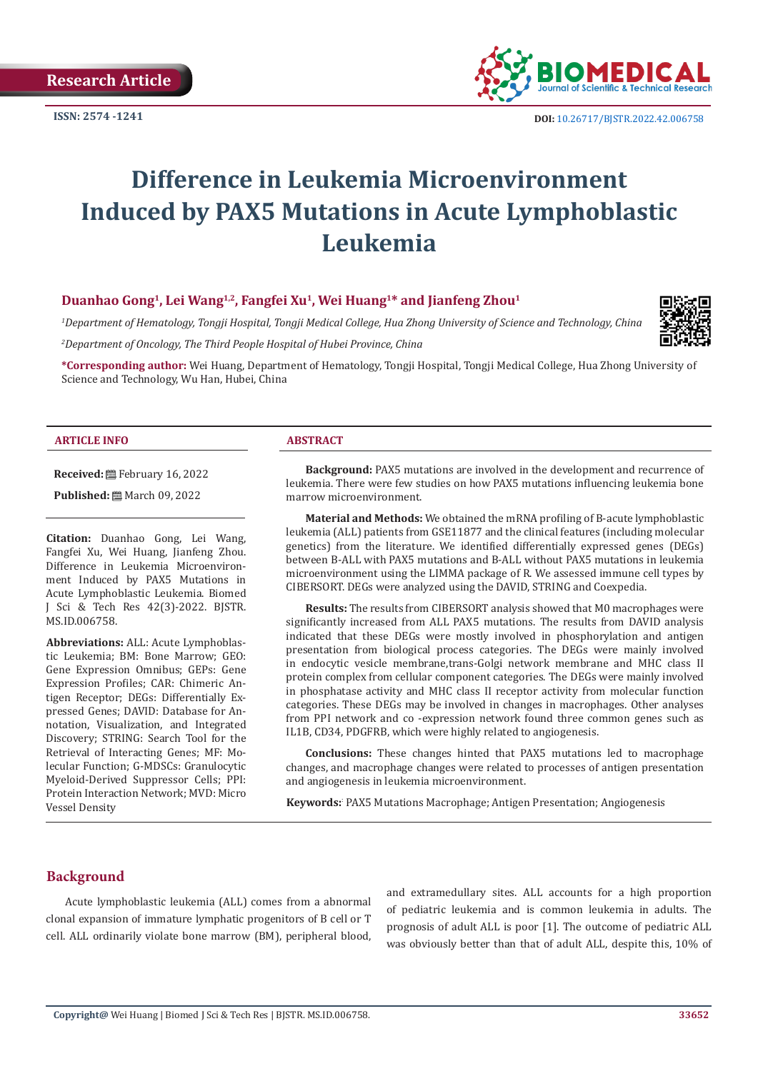

# **Difference in Leukemia Microenvironment Induced by PAX5 Mutations in Acute Lymphoblastic Leukemia**

# **Duanhao Gong1, Lei Wang1,2, Fangfei Xu1, Wei Huang1\* and Jianfeng Zhou1**

*1 Department of Hematology, Tongji Hospital, Tongji Medical College, Hua Zhong University of Science and Technology, China 2 Department of Oncology, The Third People Hospital of Hubei Province, China*



**\*Corresponding author:** Wei Huang, Department of Hematology, Tongji Hospital, Tongji Medical College, Hua Zhong University of Science and Technology, Wu Han, Hubei, China

#### **ARTICLE INFO ABSTRACT**

**Received:** February 16, 2022

**Published:** ■ March 09, 2022

**Citation:** Duanhao Gong, Lei Wang, Fangfei Xu, Wei Huang, Jianfeng Zhou. Difference in Leukemia Microenvironment Induced by PAX5 Mutations in Acute Lymphoblastic Leukemia. Biomed J Sci & Tech Res 42(3)-2022. BJSTR. MS.ID.006758.

**Abbreviations:** ALL: Acute Lymphoblastic Leukemia; BM: Bone Marrow; GEO: Gene Expression Omnibus; GEPs: Gene Expression Profiles; CAR: Chimeric Antigen Receptor; DEGs: Differentially Expressed Genes; DAVID: Database for Annotation, Visualization, and Integrated Discovery; STRING: Search Tool for the Retrieval of Interacting Genes; MF: Molecular Function; G-MDSCs: Granulocytic Myeloid-Derived Suppressor Cells; PPI: Protein Interaction Network; MVD: Micro Vessel Density

**Background:** PAX5 mutations are involved in the development and recurrence of leukemia. There were few studies on how PAX5 mutations influencing leukemia bone marrow microenvironment.

**Material and Methods:** We obtained the mRNA profiling of B-acute lymphoblastic leukemia (ALL) patients from GSE11877 and the clinical features (including molecular genetics) from the literature. We identified differentially expressed genes (DEGs) between B-ALL with PAX5 mutations and B-ALL without PAX5 mutations in leukemia microenvironment using the LIMMA package of R. We assessed immune cell types by CIBERSORT. DEGs were analyzed using the DAVID, STRING and Coexpedia.

**Results:** The results from CIBERSORT analysis showed that M0 macrophages were significantly increased from ALL PAX5 mutations. The results from DAVID analysis indicated that these DEGs were mostly involved in phosphorylation and antigen presentation from biological process categories. The DEGs were mainly involved in endocytic vesicle membrane,trans-Golgi network membrane and MHC class II protein complex from cellular component categories. The DEGs were mainly involved in phosphatase activity and MHC class II receptor activity from molecular function categories. These DEGs may be involved in changes in macrophages. Other analyses from PPI network and co -expression network found three common genes such as IL1B, CD34, PDGFRB, which were highly related to angiogenesis.

**Conclusions:** These changes hinted that PAX5 mutations led to macrophage changes, and macrophage changes were related to processes of antigen presentation and angiogenesis in leukemia microenvironment.

**Keywords:**: PAX5 Mutations Macrophage; Antigen Presentation; Angiogenesis

# **Background**

Acute lymphoblastic leukemia (ALL) comes from a abnormal clonal expansion of immature lymphatic progenitors of B cell or T cell. ALL ordinarily violate bone marrow (BM), peripheral blood, and extramedullary sites. ALL accounts for a high proportion of pediatric leukemia and is common leukemia in adults. The prognosis of adult ALL is poor [1]. The outcome of pediatric ALL was obviously better than that of adult ALL, despite this, 10% of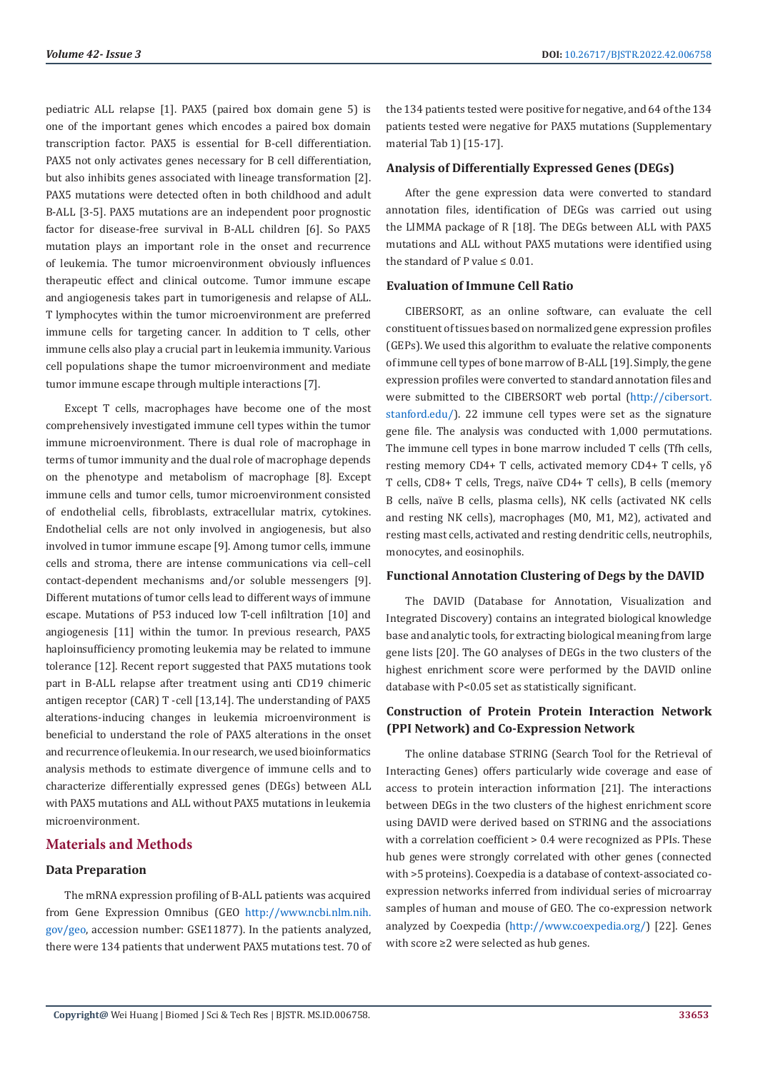pediatric ALL relapse [1]. PAX5 (paired box domain gene 5) is one of the important genes which encodes a paired box domain transcription factor. PAX5 is essential for B-cell differentiation. PAX5 not only activates genes necessary for B cell differentiation, but also inhibits genes associated with lineage transformation [2]. PAX5 mutations were detected often in both childhood and adult B-ALL [3-5]. PAX5 mutations are an independent poor prognostic factor for disease-free survival in B-ALL children [6]. So PAX5 mutation plays an important role in the onset and recurrence of leukemia. The tumor microenvironment obviously influences therapeutic effect and clinical outcome. Tumor immune escape and angiogenesis takes part in tumorigenesis and relapse of ALL. T lymphocytes within the tumor microenvironment are preferred immune cells for targeting cancer. In addition to T cells, other immune cells also play a crucial part in leukemia immunity. Various cell populations shape the tumor microenvironment and mediate tumor immune escape through multiple interactions [7].

Except T cells, macrophages have become one of the most comprehensively investigated immune cell types within the tumor immune microenvironment. There is dual role of macrophage in terms of tumor immunity and the dual role of macrophage depends on the phenotype and metabolism of macrophage [8]. Except immune cells and tumor cells, tumor microenvironment consisted of endothelial cells, fibroblasts, extracellular matrix, cytokines. Endothelial cells are not only involved in angiogenesis, but also involved in tumor immune escape [9]. Among tumor cells, immune cells and stroma, there are intense communications via cell–cell contact-dependent mechanisms and/or soluble messengers [9]. Different mutations of tumor cells lead to different ways of immune escape. Mutations of P53 induced low T-cell infiltration [10] and angiogenesis [11] within the tumor. In previous research, PAX5 haploinsufficiency promoting leukemia may be related to immune tolerance [12]. Recent report suggested that PAX5 mutations took part in B-ALL relapse after treatment using anti CD19 chimeric antigen receptor (CAR) T -cell [13,14]. The understanding of PAX5 alterations-inducing changes in leukemia microenvironment is beneficial to understand the role of PAX5 alterations in the onset and recurrence of leukemia. In our research, we used bioinformatics analysis methods to estimate divergence of immune cells and to characterize differentially expressed genes (DEGs) between ALL with PAX5 mutations and ALL without PAX5 mutations in leukemia microenvironment.

# **Materials and Methods**

#### **Data Preparation**

The mRNA expression profiling of B-ALL patients was acquired from Gene Expression Omnibus (GEO [http://www.ncbi.nlm.nih.](http://www.ncbi.nlm.nih.gov/geo) [gov/geo,](http://www.ncbi.nlm.nih.gov/geo) accession number: GSE11877). In the patients analyzed, there were 134 patients that underwent PAX5 mutations test. 70 of the 134 patients tested were positive for negative, and 64 of the 134 patients tested were negative for PAX5 mutations (Supplementary material Tab 1) [15-17].

#### **Analysis of Differentially Expressed Genes (DEGs)**

After the gene expression data were converted to standard annotation files, identification of DEGs was carried out using the LIMMA package of R [18]. The DEGs between ALL with PAX5 mutations and ALL without PAX5 mutations were identified using the standard of P value ≤ 0.01.

#### **Evaluation of Immune Cell Ratio**

CIBERSORT, as an online software, can evaluate the cell constituent of tissues based on normalized gene expression profiles (GEPs). We used this algorithm to evaluate the relative components of immune cell types of bone marrow of B-ALL [19]. Simply, the gene expression profiles were converted to standard annotation files and were submitted to the CIBERSORT web portal [\(http://cibersort.](http://cibersort.stanford.edu/) [stanford.edu/\)](http://cibersort.stanford.edu/). 22 immune cell types were set as the signature gene file. The analysis was conducted with 1,000 permutations. The immune cell types in bone marrow included T cells (Tfh cells, resting memory CD4+ T cells, activated memory CD4+ T cells, γδ T cells, CD8+ T cells, Tregs, naïve CD4+ T cells), B cells (memory B cells, naïve B cells, plasma cells), NK cells (activated NK cells and resting NK cells), macrophages (M0, M1, M2), activated and resting mast cells, activated and resting dendritic cells, neutrophils, monocytes, and eosinophils.

#### **Functional Annotation Clustering of Degs by the DAVID**

The DAVID (Database for Annotation, Visualization and Integrated Discovery) contains an integrated biological knowledge base and analytic tools, for extracting biological meaning from large gene lists [20]. The GO analyses of DEGs in the two clusters of the highest enrichment score were performed by the DAVID online database with P<0.05 set as statistically significant.

# **Construction of Protein Protein Interaction Network (PPI Network) and Co-Expression Network**

The online database STRING (Search Tool for the Retrieval of Interacting Genes) offers particularly wide coverage and ease of access to protein interaction information [21]. The interactions between DEGs in the two clusters of the highest enrichment score using DAVID were derived based on STRING and the associations with a correlation coefficient > 0.4 were recognized as PPIs. These hub genes were strongly correlated with other genes (connected with >5 proteins). Coexpedia is a database of context-associated coexpression networks inferred from individual series of microarray samples of human and mouse of GEO. The co-expression network analyzed by Coexpedia ([http://www.coexpedia.org/\)](http://www.coexpedia.org/) [22]. Genes with score ≥2 were selected as hub genes.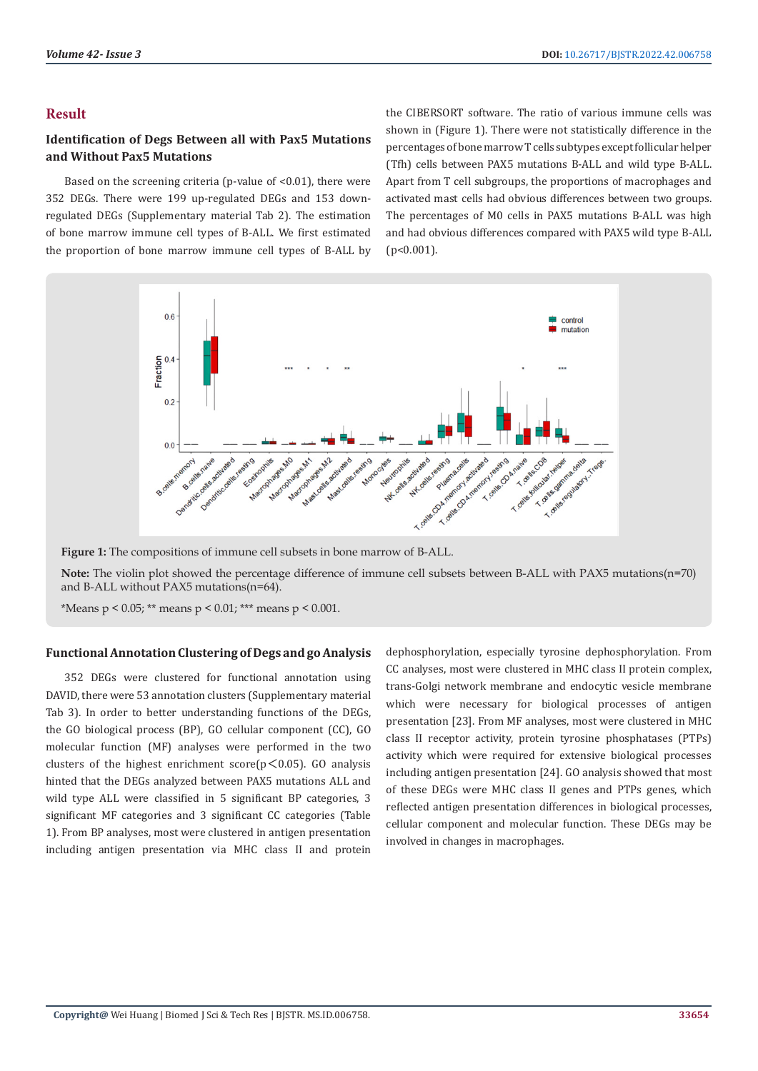# **Result**

# **Identification of Degs Between all with Pax5 Mutations and Without Pax5 Mutations**

Based on the screening criteria (p-value of <0.01), there were 352 DEGs. There were 199 up-regulated DEGs and 153 downregulated DEGs (Supplementary material Tab 2). The estimation of bone marrow immune cell types of B-ALL. We first estimated the proportion of bone marrow immune cell types of B-ALL by the CIBERSORT software. The ratio of various immune cells was shown in (Figure 1). There were not statistically difference in the percentages of bone marrow T cells subtypes except follicular helper (Tfh) cells between PAX5 mutations B-ALL and wild type B-ALL. Apart from T cell subgroups, the proportions of macrophages and activated mast cells had obvious differences between two groups. The percentages of M0 cells in PAX5 mutations B-ALL was high and had obvious differences compared with PAX5 wild type B-ALL (p<0.001).



**Figure 1:** The compositions of immune cell subsets in bone marrow of B-ALL.

**Note:** The violin plot showed the percentage difference of immune cell subsets between B-ALL with PAX5 mutations(n=70) and B-ALL without PAX5 mutations(n=64).

\*Means  $p < 0.05$ ; \*\* means  $p < 0.01$ ; \*\*\* means  $p < 0.001$ .

#### **Functional Annotation Clustering of Degs and go Analysis**

352 DEGs were clustered for functional annotation using DAVID, there were 53 annotation clusters (Supplementary material Tab 3). In order to better understanding functions of the DEGs, the GO biological process (BP), GO cellular component (CC), GO molecular function (MF) analyses were performed in the two clusters of the highest enrichment score $(p<0.05)$ . GO analysis hinted that the DEGs analyzed between PAX5 mutations ALL and wild type ALL were classified in 5 significant BP categories, 3 significant MF categories and 3 significant CC categories (Table 1). From BP analyses, most were clustered in antigen presentation including antigen presentation via MHC class II and protein

dephosphorylation, especially tyrosine dephosphorylation. From CC analyses, most were clustered in MHC class II protein complex, trans-Golgi network membrane and endocytic vesicle membrane which were necessary for biological processes of antigen presentation [23]. From MF analyses, most were clustered in MHC class II receptor activity, protein tyrosine phosphatases (PTPs) activity which were required for extensive biological processes including antigen presentation [24]. GO analysis showed that most of these DEGs were MHC class II genes and PTPs genes, which reflected antigen presentation differences in biological processes, cellular component and molecular function. These DEGs may be involved in changes in macrophages.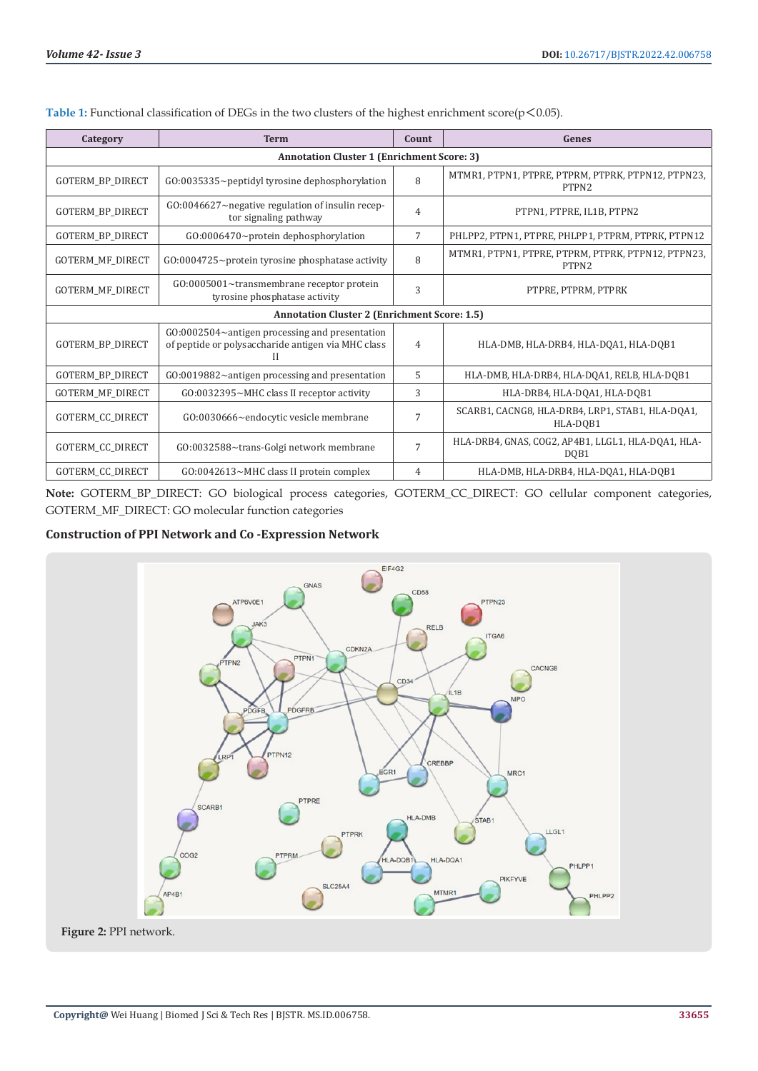| Category                                            | <b>Term</b>                                                                                                  | Count          | Genes                                                                   |
|-----------------------------------------------------|--------------------------------------------------------------------------------------------------------------|----------------|-------------------------------------------------------------------------|
| <b>Annotation Cluster 1 (Enrichment Score: 3)</b>   |                                                                                                              |                |                                                                         |
| <b>GOTERM BP DIRECT</b>                             | $G0:0035335$ ~peptidyl tyrosine dephosphorylation                                                            | 8              | MTMR1, PTPN1, PTPRE, PTPRM, PTPRK, PTPN12, PTPN23,<br>PTPN <sub>2</sub> |
| GOTERM_BP_DIRECT                                    | $G0:0046627$ ~ negative regulation of insulin recep-<br>tor signaling pathway                                | $\overline{4}$ | PTPN1, PTPRE, IL1B, PTPN2                                               |
| <b>GOTERM BP DIRECT</b>                             | GO:0006470~protein dephosphorylation                                                                         | 7              | PHLPP2, PTPN1, PTPRE, PHLPP1, PTPRM, PTPRK, PTPN12                      |
| GOTERM_MF_DIRECT                                    | $G0:0004725$ ~protein tyrosine phosphatase activity                                                          | 8              | MTMR1, PTPN1, PTPRE, PTPRM, PTPRK, PTPN12, PTPN23,<br>PTPN2             |
| GOTERM_MF_DIRECT                                    | GO:0005001~transmembrane receptor protein<br>tyrosine phosphatase activity                                   | 3              | PTPRE. PTPRM. PTPRK                                                     |
| <b>Annotation Cluster 2 (Enrichment Score: 1.5)</b> |                                                                                                              |                |                                                                         |
| GOTERM_BP_DIRECT                                    | $G0:0002504$ ~antigen processing and presentation<br>of peptide or polysaccharide antigen via MHC class<br>Н | 4              | HLA-DMB, HLA-DRB4, HLA-DQA1, HLA-DQB1                                   |
| GOTERM_BP_DIRECT                                    | $G0:0019882$ ~antigen processing and presentation                                                            | 5              | HLA-DMB, HLA-DRB4, HLA-DQA1, RELB, HLA-DQB1                             |
| GOTERM_MF_DIRECT                                    | GO:0032395~MHC class II receptor activity                                                                    | 3              | HLA-DRB4, HLA-DOA1, HLA-DOB1                                            |
| GOTERM_CC_DIRECT                                    | GO:0030666~endocytic vesicle membrane                                                                        | 7              | SCARB1, CACNG8, HLA-DRB4, LRP1, STAB1, HLA-DQA1,<br>HLA-DOB1            |
| GOTERM_CC_DIRECT                                    | GO:0032588~trans-Golgi network membrane                                                                      | $\overline{7}$ | HLA-DRB4, GNAS, COG2, AP4B1, LLGL1, HLA-DQA1, HLA-<br>DOB1              |
| <b>GOTERM CC DIRECT</b>                             | GO:0042613~MHC class II protein complex                                                                      | 4              | HLA-DMB, HLA-DRB4, HLA-DOA1, HLA-DOB1                                   |

Table 1: Functional classification of DEGs in the two clusters of the highest enrichment score(p < 0.05).

**Note:** GOTERM\_BP\_DIRECT: GO biological process categories, GOTERM\_CC\_DIRECT: GO cellular component categories, GOTERM\_MF\_DIRECT: GO molecular function categories

# **Construction of PPI Network and Co -Expression Network**

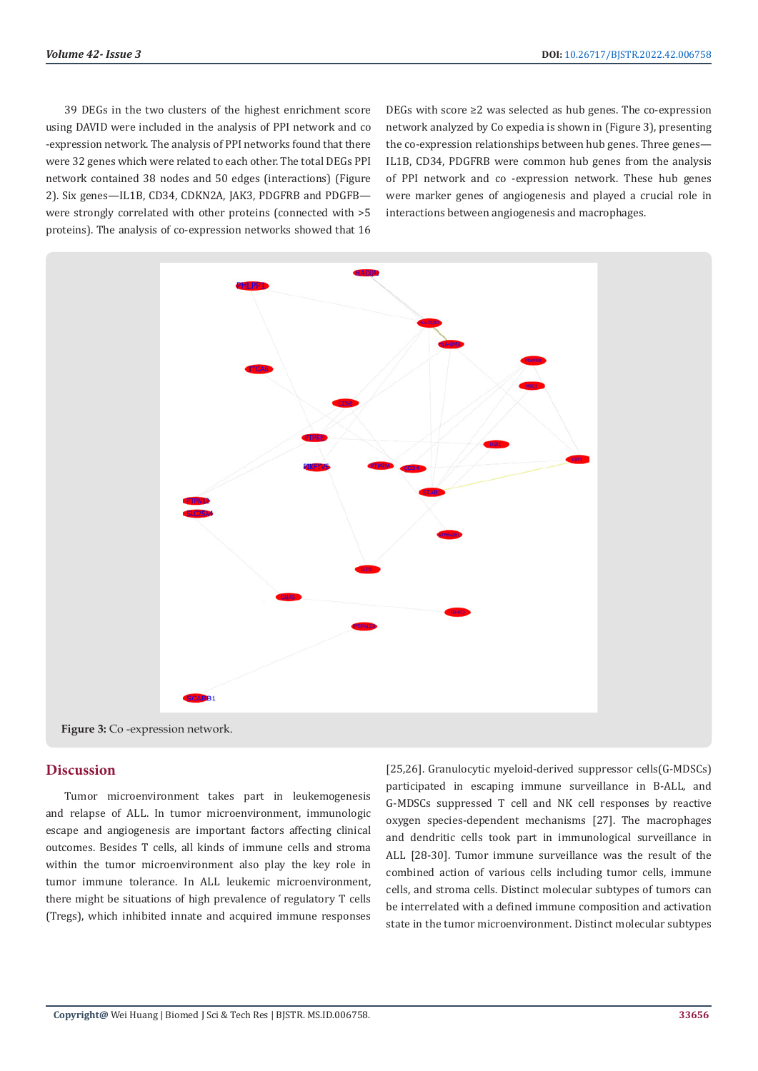39 DEGs in the two clusters of the highest enrichment score using DAVID were included in the analysis of PPI network and co -expression network. The analysis of PPI networks found that there were 32 genes which were related to each other. The total DEGs PPI network contained 38 nodes and 50 edges (interactions) (Figure 2). Six genes—IL1B, CD34, CDKN2A, JAK3, PDGFRB and PDGFB were strongly correlated with other proteins (connected with >5 proteins). The analysis of co-expression networks showed that 16

DEGs with score ≥2 was selected as hub genes. The co-expression network analyzed by Co expedia is shown in (Figure 3), presenting the co-expression relationships between hub genes. Three genes— IL1B, CD34, PDGFRB were common hub genes from the analysis of PPI network and co -expression network. These hub genes were marker genes of angiogenesis and played a crucial role in interactions between angiogenesis and macrophages.



**Figure 3:** Co -expression network.

# **Discussion**

Tumor microenvironment takes part in leukemogenesis and relapse of ALL. In tumor microenvironment, immunologic escape and angiogenesis are important factors affecting clinical outcomes. Besides T cells, all kinds of immune cells and stroma within the tumor microenvironment also play the key role in tumor immune tolerance. In ALL leukemic microenvironment, there might be situations of high prevalence of regulatory T cells (Tregs), which inhibited innate and acquired immune responses [25,26]. Granulocytic myeloid-derived suppressor cells(G-MDSCs) participated in escaping immune surveillance in B-ALL, and G-MDSCs suppressed T cell and NK cell responses by reactive oxygen species-dependent mechanisms [27]. The macrophages and dendritic cells took part in immunological surveillance in ALL [28-30]. Tumor immune surveillance was the result of the combined action of various cells including tumor cells, immune cells, and stroma cells. Distinct molecular subtypes of tumors can be interrelated with a defined immune composition and activation state in the tumor microenvironment. Distinct molecular subtypes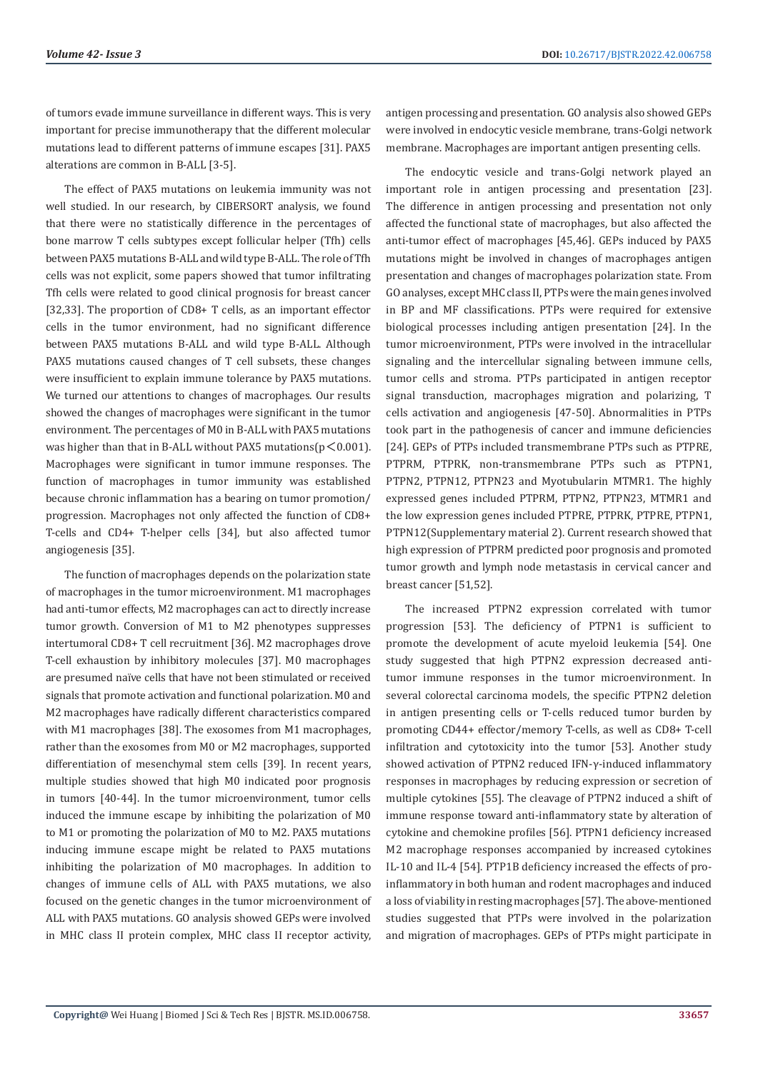of tumors evade immune surveillance in different ways. This is very important for precise immunotherapy that the different molecular mutations lead to different patterns of immune escapes [31]. PAX5 alterations are common in B-ALL [3-5].

The effect of PAX5 mutations on leukemia immunity was not well studied. In our research, by CIBERSORT analysis, we found that there were no statistically difference in the percentages of bone marrow T cells subtypes except follicular helper (Tfh) cells between PAX5 mutations B-ALL and wild type B-ALL. The role of Tfh cells was not explicit, some papers showed that tumor infiltrating Tfh cells were related to good clinical prognosis for breast cancer [32,33]. The proportion of CD8+ T cells, as an important effector cells in the tumor environment, had no significant difference between PAX5 mutations B-ALL and wild type B-ALL. Although PAX5 mutations caused changes of T cell subsets, these changes were insufficient to explain immune tolerance by PAX5 mutations. We turned our attentions to changes of macrophages. Our results showed the changes of macrophages were significant in the tumor environment. The percentages of M0 in B-ALL with PAX5 mutations was higher than that in B-ALL without PAX5 mutations( $p < 0.001$ ). Macrophages were significant in tumor immune responses. The function of macrophages in tumor immunity was established because chronic inflammation has a bearing on tumor promotion/ progression. Macrophages not only affected the function of CD8+ T-cells and CD4+ T-helper cells [34], but also affected tumor angiogenesis [35].

The function of macrophages depends on the polarization state of macrophages in the tumor microenvironment. M1 macrophages had anti-tumor effects, M2 macrophages can act to directly increase tumor growth. Conversion of M1 to M2 phenotypes suppresses intertumoral CD8+ T cell recruitment [36]. M2 macrophages drove T-cell exhaustion by inhibitory molecules [37]. M0 macrophages are presumed naïve cells that have not been stimulated or received signals that promote activation and functional polarization. M0 and M2 macrophages have radically different characteristics compared with M1 macrophages [38]. The exosomes from M1 macrophages, rather than the exosomes from M0 or M2 macrophages, supported differentiation of mesenchymal stem cells [39]. In recent years, multiple studies showed that high M0 indicated poor prognosis in tumors [40-44]. In the tumor microenvironment, tumor cells induced the immune escape by inhibiting the polarization of M0 to M1 or promoting the polarization of M0 to M2. PAX5 mutations inducing immune escape might be related to PAX5 mutations inhibiting the polarization of M0 macrophages. In addition to changes of immune cells of ALL with PAX5 mutations, we also focused on the genetic changes in the tumor microenvironment of ALL with PAX5 mutations. GO analysis showed GEPs were involved in MHC class II protein complex, MHC class II receptor activity,

antigen processing and presentation. GO analysis also showed GEPs were involved in endocytic vesicle membrane, trans-Golgi network membrane. Macrophages are important antigen presenting cells.

The endocytic vesicle and trans-Golgi network played an important role in antigen processing and presentation [23]. The difference in antigen processing and presentation not only affected the functional state of macrophages, but also affected the anti-tumor effect of macrophages [45,46]. GEPs induced by PAX5 mutations might be involved in changes of macrophages antigen presentation and changes of macrophages polarization state. From GO analyses, except MHC class II, PTPs were the main genes involved in BP and MF classifications. PTPs were required for extensive biological processes including antigen presentation [24]. In the tumor microenvironment, PTPs were involved in the intracellular signaling and the intercellular signaling between immune cells, tumor cells and stroma. PTPs participated in antigen receptor signal transduction, macrophages migration and polarizing, T cells activation and angiogenesis [47-50]. Abnormalities in PTPs took part in the pathogenesis of cancer and immune deficiencies [24]. GEPs of PTPs included transmembrane PTPs such as PTPRE, PTPRM, PTPRK, non-transmembrane PTPs such as PTPN1, PTPN2, PTPN12, PTPN23 and Myotubularin MTMR1. The highly expressed genes included PTPRM, PTPN2, PTPN23, MTMR1 and the low expression genes included PTPRE, PTPRK, PTPRE, PTPN1, PTPN12(Supplementary material 2). Current research showed that high expression of PTPRM predicted poor prognosis and promoted tumor growth and lymph node metastasis in cervical cancer and breast cancer [51,52].

The increased PTPN2 expression correlated with tumor progression [53]. The deficiency of PTPN1 is sufficient to promote the development of acute myeloid leukemia [54]. One study suggested that high PTPN2 expression decreased antitumor immune responses in the tumor microenvironment. In several colorectal carcinoma models, the specific PTPN2 deletion in antigen presenting cells or T-cells reduced tumor burden by promoting CD44+ effector/memory T-cells, as well as CD8+ T-cell infiltration and cytotoxicity into the tumor [53]. Another study showed activation of PTPN2 reduced IFN-γ-induced inflammatory responses in macrophages by reducing expression or secretion of multiple cytokines [55]. The cleavage of PTPN2 induced a shift of immune response toward anti-inflammatory state by alteration of cytokine and chemokine profiles [56]. PTPN1 deficiency increased M2 macrophage responses accompanied by increased cytokines IL-10 and IL-4 [54]. PTP1B deficiency increased the effects of proinflammatory in both human and rodent macrophages and induced a loss of viability in resting macrophages [57]. The above-mentioned studies suggested that PTPs were involved in the polarization and migration of macrophages. GEPs of PTPs might participate in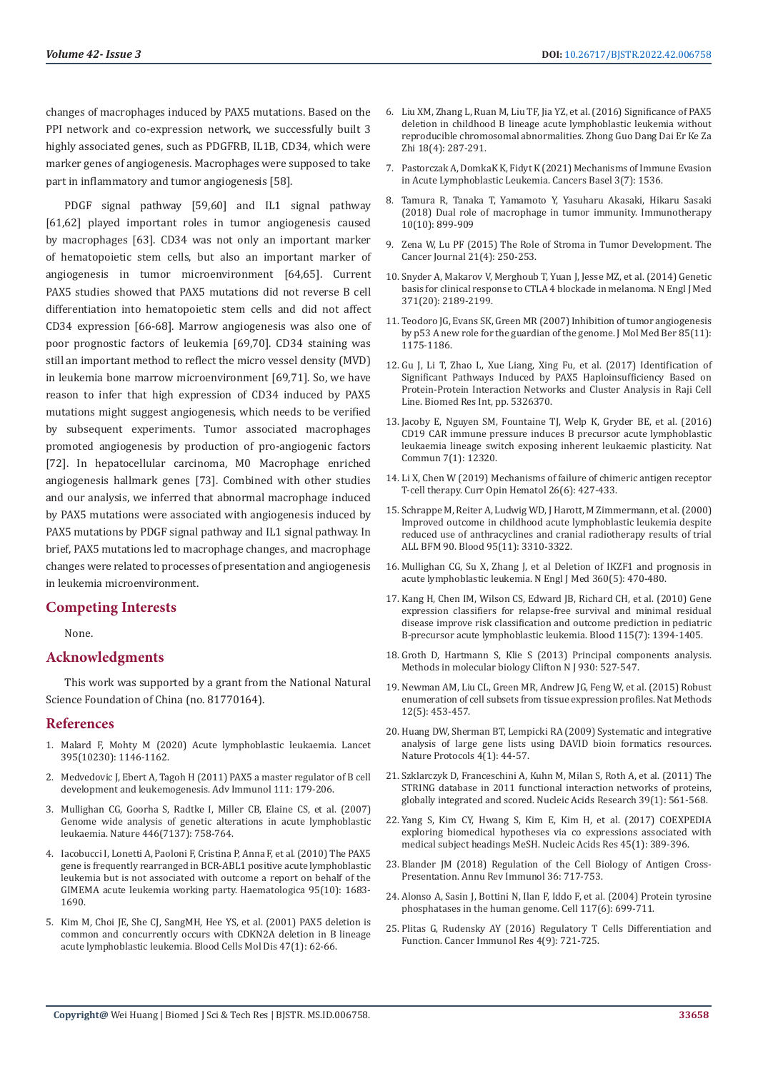changes of macrophages induced by PAX5 mutations. Based on the PPI network and co-expression network, we successfully built 3 highly associated genes, such as PDGFRB, IL1B, CD34, which were marker genes of angiogenesis. Macrophages were supposed to take part in inflammatory and tumor angiogenesis [58].

PDGF signal pathway [59,60] and IL1 signal pathway [61,62] played important roles in tumor angiogenesis caused by macrophages [63]. CD34 was not only an important marker of hematopoietic stem cells, but also an important marker of angiogenesis in tumor microenvironment [64,65]. Current PAX5 studies showed that PAX5 mutations did not reverse B cell differentiation into hematopoietic stem cells and did not affect CD34 expression [66-68]. Marrow angiogenesis was also one of poor prognostic factors of leukemia [69,70]. CD34 staining was still an important method to reflect the micro vessel density (MVD) in leukemia bone marrow microenvironment [69,71]. So, we have reason to infer that high expression of CD34 induced by PAX5 mutations might suggest angiogenesis, which needs to be verified by subsequent experiments. Tumor associated macrophages promoted angiogenesis by production of pro-angiogenic factors [72]. In hepatocellular carcinoma, M0 Macrophage enriched angiogenesis hallmark genes [73]. Combined with other studies and our analysis, we inferred that abnormal macrophage induced by PAX5 mutations were associated with angiogenesis induced by PAX5 mutations by PDGF signal pathway and IL1 signal pathway. In brief, PAX5 mutations led to macrophage changes, and macrophage changes were related to processes of presentation and angiogenesis in leukemia microenvironment.

# **Competing Interests**

None.

#### **Acknowledgments**

This work was supported by a grant from the National Natural Science Foundation of China (no. 81770164).

### **References**

- 1. [Malard F, Mohty M \(2020\) Acute lymphoblastic leukaemia. Lancet](https://www.mayoclinic.org/diseases-conditions/acute-lymphocytic-leukemia/symptoms-causes/syc-20369077)  [395\(10230\): 1146-1162.](https://www.mayoclinic.org/diseases-conditions/acute-lymphocytic-leukemia/symptoms-causes/syc-20369077)
- 2. [Medvedovic J, Ebert A, Tagoh H \(2011\) PAX5 a master regulator of B cell](https://pubmed.ncbi.nlm.nih.gov/21970955/)  [development and leukemogenesis. Adv Immunol 111: 179-206.](https://pubmed.ncbi.nlm.nih.gov/21970955/)
- 3. [Mullighan CG, Goorha S, Radtke I, Miller CB, Elaine CS, et al. \(2007\)](https://pubmed.ncbi.nlm.nih.gov/17344859/)  [Genome wide analysis of genetic alterations in acute lymphoblastic](https://pubmed.ncbi.nlm.nih.gov/17344859/)  [leukaemia. Nature 446\(7137\): 758-764.](https://pubmed.ncbi.nlm.nih.gov/17344859/)
- 4. [Iacobucci I, Lonetti A, Paoloni F, Cristina P, Anna F, et al. \(2010\) The PAX5](https://pubmed.ncbi.nlm.nih.gov/20534699/)  [gene is frequently rearranged in BCR-ABL1 positive acute lymphoblastic](https://pubmed.ncbi.nlm.nih.gov/20534699/)  [leukemia but is not associated with outcome a report on behalf of the](https://pubmed.ncbi.nlm.nih.gov/20534699/)  [GIMEMA acute leukemia working party. Haematologica 95\(10\): 1683-](https://pubmed.ncbi.nlm.nih.gov/20534699/) [1690.](https://pubmed.ncbi.nlm.nih.gov/20534699/)
- 5. Kim M, Choi JE, She CJ, SangMH, Hee YS, et al. (2001) PAX5 deletion is common and concurrently occurs with CDKN2A deletion in B lineage acute lymphoblastic leukemia. Blood Cells Mol Dis 47(1): 62-66.
- 6. [Liu XM, Zhang L, Ruan M, Liu TF, Jia YZ, et al. \(2016\) Significance of PAX5](https://pubmed.ncbi.nlm.nih.gov/27097569/) [deletion in childhood B lineage acute lymphoblastic leukemia without](https://pubmed.ncbi.nlm.nih.gov/27097569/) [reproducible chromosomal abnormalities. Zhong Guo Dang Dai Er Ke Za](https://pubmed.ncbi.nlm.nih.gov/27097569/) [Zhi 18\(4\): 287-291.](https://pubmed.ncbi.nlm.nih.gov/27097569/)
- 7. [Pastorczak A, DomkaK K, Fidyt K \(2021\) Mechanisms of Immune Evasion](https://pubmed.ncbi.nlm.nih.gov/33810515/) [in Acute Lymphoblastic Leukemia. Cancers Basel 3\(7\): 1536.](https://pubmed.ncbi.nlm.nih.gov/33810515/)
- 8. [Tamura R, Tanaka T, Yamamoto Y, Yasuharu Akasaki, Hikaru Sasaki](https://www.futuremedicine.com/doi/10.2217/imt-2018-0006) [\(2018\) Dual role of macrophage in tumor immunity. Immunotherapy](https://www.futuremedicine.com/doi/10.2217/imt-2018-0006) [10\(10\): 899-909](https://www.futuremedicine.com/doi/10.2217/imt-2018-0006)
- 9. [Zena W, Lu PF \(2015\) The Role of Stroma in Tumor Development. The](https://pubmed.ncbi.nlm.nih.gov/26222075/) [Cancer Journal 21\(4\): 250-253.](https://pubmed.ncbi.nlm.nih.gov/26222075/)
- 10. [Snyder A, Makarov V, Merghoub T, Yuan J, Jesse MZ, et al. \(2014\) Genetic](https://pubmed.ncbi.nlm.nih.gov/25409260/) [basis for clinical response to CTLA 4 blockade in melanoma. N Engl J Med](https://pubmed.ncbi.nlm.nih.gov/25409260/) [371\(20\): 2189-2199.](https://pubmed.ncbi.nlm.nih.gov/25409260/)
- 11. Teodoro JG, Evans SK, Green MR (2007) Inhibition of tumor angiogenesis by p53 A new role for the guardian of the genome. J Mol Med Ber 85(11): 1175-1186.
- 12. [Gu J, Li T, Zhao L, Xue Liang, Xing Fu, et al. \(2017\) Identification of](https://pubmed.ncbi.nlm.nih.gov/28316978/) [Significant Pathways Induced by PAX5 Haploinsufficiency Based on](https://pubmed.ncbi.nlm.nih.gov/28316978/) [Protein-Protein Interaction Networks and Cluster Analysis in Raji Cell](https://pubmed.ncbi.nlm.nih.gov/28316978/) [Line. Biomed Res Int, pp. 5326370.](https://pubmed.ncbi.nlm.nih.gov/28316978/)
- 13. [Jacoby E, Nguyen SM, Fountaine TJ, Welp K, Gryder BE, et al. \(2016\)](https://www.researchgate.net/publication/305693999_CD19_CAR_immune_pressure_induces_B-precursor_acute_lymphoblastic_leukaemia_lineage_switch_exposing_inherent_leukaemic_plasticity) [CD19 CAR immune pressure induces B precursor acute lymphoblastic](https://www.researchgate.net/publication/305693999_CD19_CAR_immune_pressure_induces_B-precursor_acute_lymphoblastic_leukaemia_lineage_switch_exposing_inherent_leukaemic_plasticity) [leukaemia lineage switch exposing inherent leukaemic plasticity. Nat](https://www.researchgate.net/publication/305693999_CD19_CAR_immune_pressure_induces_B-precursor_acute_lymphoblastic_leukaemia_lineage_switch_exposing_inherent_leukaemic_plasticity) [Commun 7\(1\): 12320.](https://www.researchgate.net/publication/305693999_CD19_CAR_immune_pressure_induces_B-precursor_acute_lymphoblastic_leukaemia_lineage_switch_exposing_inherent_leukaemic_plasticity)
- 14. [Li X, Chen W \(2019\) Mechanisms of failure of chimeric antigen receptor](https://pubmed.ncbi.nlm.nih.gov/31577606/) [T-cell therapy. Curr Opin Hematol 26\(6\): 427-433.](https://pubmed.ncbi.nlm.nih.gov/31577606/)
- 15. [Schrappe M, Reiter A, Ludwig WD, J Harott, M Zimmermann, et al. \(2000\)](https://pubmed.ncbi.nlm.nih.gov/10828010/) [Improved outcome in childhood acute lymphoblastic leukemia despite](https://pubmed.ncbi.nlm.nih.gov/10828010/) [reduced use of anthracyclines and cranial radiotherapy results of trial](https://pubmed.ncbi.nlm.nih.gov/10828010/) [ALL BFM 90. Blood 95\(11\): 3310-3322.](https://pubmed.ncbi.nlm.nih.gov/10828010/)
- 16. Mullighan CG, Su X, Zhang J, et al Deletion of IKZF1 and prognosis in acute lymphoblastic leukemia. N Engl J Med 360(5): 470-480.
- 17. [Kang H, Chen IM, Wilson CS, Edward JB, Richard CH, et al. \(2010\) Gene](https://pubmed.ncbi.nlm.nih.gov/19880498/) [expression classifiers for relapse-free survival and minimal residual](https://pubmed.ncbi.nlm.nih.gov/19880498/) [disease improve risk classification and outcome prediction in pediatric](https://pubmed.ncbi.nlm.nih.gov/19880498/) [B-precursor acute lymphoblastic leukemia. Blood 115\(7\): 1394-1405.](https://pubmed.ncbi.nlm.nih.gov/19880498/)
- 18. Groth D, Hartmann S, Klie S (2013) Principal components analysis. Methods in molecular biology Clifton N J 930: 527-547.
- 19. [Newman AM, Liu CL, Green MR, Andrew JG, Feng W, et al. \(2015\) Robust](https://pubmed.ncbi.nlm.nih.gov/25822800/) [enumeration of cell subsets from tissue expression profiles. Nat Methods](https://pubmed.ncbi.nlm.nih.gov/25822800/) [12\(5\): 453-457.](https://pubmed.ncbi.nlm.nih.gov/25822800/)
- 20. [Huang DW, Sherman BT, Lempicki RA \(2009\) Systematic and integrative](https://www.nature.com/articles/nmeth.4346) [analysis of large gene lists using DAVID bioin formatics resources.](https://www.nature.com/articles/nmeth.4346) [Nature Protocols 4\(1\): 44-57.](https://www.nature.com/articles/nmeth.4346)
- 21. [Szklarczyk D, Franceschini A, Kuhn M, Milan S, Roth A, et al. \(2011\) The](https://pubmed.ncbi.nlm.nih.gov/21045058/) [STRING database in 2011 functional interaction networks of proteins,](https://pubmed.ncbi.nlm.nih.gov/21045058/) [globally integrated and scored. Nucleic Acids Research 39\(1\): 561-568.](https://pubmed.ncbi.nlm.nih.gov/21045058/)
- 22. [Yang S, Kim CY, Hwang S, Kim E, Kim H, et al. \(2017\) COEXPEDIA](https://pubmed.ncbi.nlm.nih.gov/27679477/) [exploring biomedical hypotheses via co expressions associated with](https://pubmed.ncbi.nlm.nih.gov/27679477/) [medical subject headings MeSH. Nucleic Acids Res 45\(1\): 389-396.](https://pubmed.ncbi.nlm.nih.gov/27679477/)
- 23. [Blander JM \(2018\) Regulation of the Cell Biology of Antigen Cross-](https://pubmed.ncbi.nlm.nih.gov/29490164/)[Presentation. Annu Rev Immunol 36: 717-753.](https://pubmed.ncbi.nlm.nih.gov/29490164/)
- 24. [Alonso A, Sasin J, Bottini N, Ilan F, Iddo F, et al. \(2004\) Protein tyrosine](https://pubmed.ncbi.nlm.nih.gov/15186772/) [phosphatases in the human genome. Cell 117\(6\): 699-711.](https://pubmed.ncbi.nlm.nih.gov/15186772/)
- 25. Plitas G, Rudensky AY (2016) Regulatory T Cells Differentiation and Function. Cancer Immunol Res 4(9): 721-725.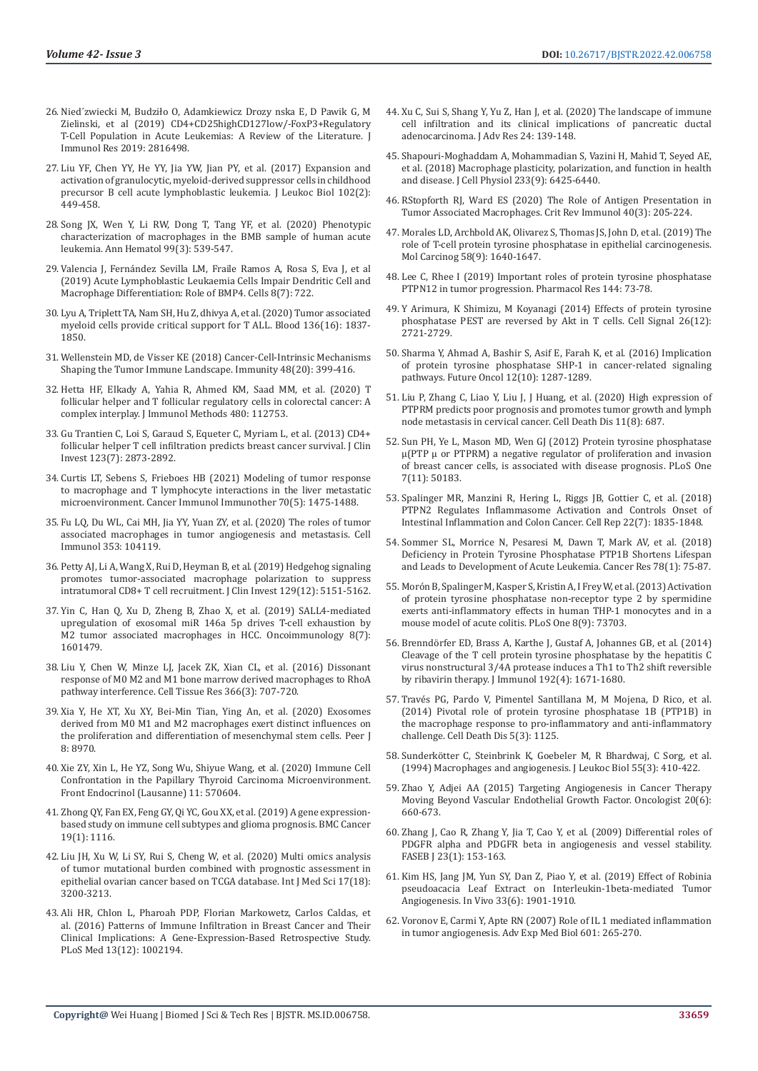- 26. Nied´zwiecki M, Budził[o O, Adamkiewicz Drozy nska E, D Pawik G, M](https://www.ncbi.nlm.nih.gov/labs/pmc/articles/PMC6421759/)  [Zielinski, et al \(2019\) CD4+CD25highCD127low/-FoxP3+Regulatory](https://www.ncbi.nlm.nih.gov/labs/pmc/articles/PMC6421759/)  [T-Cell Population in Acute Leukemias: A Review of the Literature. J](https://www.ncbi.nlm.nih.gov/labs/pmc/articles/PMC6421759/)  [Immunol Res 2019: 2816498.](https://www.ncbi.nlm.nih.gov/labs/pmc/articles/PMC6421759/)
- 27. [Liu YF, Chen YY, He YY, Jia YW, Jian PY, et al. \(2017\) Expansion and](https://pubmed.ncbi.nlm.nih.gov/28619949/)  [activation of granulocytic, myeloid-derived suppressor cells in childhood](https://pubmed.ncbi.nlm.nih.gov/28619949/)  [precursor B cell acute lymphoblastic leukemia. J Leukoc Biol 102\(2\):](https://pubmed.ncbi.nlm.nih.gov/28619949/)  [449-458.](https://pubmed.ncbi.nlm.nih.gov/28619949/)
- 28. [Song JX, Wen Y, Li RW, Dong T, Tang YF, et al. \(2020\) Phenotypic](https://pubmed.ncbi.nlm.nih.gov/31953585/)  [characterization of macrophages in the BMB sample of human acute](https://pubmed.ncbi.nlm.nih.gov/31953585/)  [leukemia. Ann Hematol 99\(3\): 539-547.](https://pubmed.ncbi.nlm.nih.gov/31953585/)
- 29. [Valencia J, Fernández Sevilla LM, Fraile Ramos A, Rosa S, Eva J, et al](https://www.ncbi.nlm.nih.gov/labs/pmc/articles/PMC6679123/)  [\(2019\) Acute Lymphoblastic Leukaemia Cells Impair Dendritic Cell and](https://www.ncbi.nlm.nih.gov/labs/pmc/articles/PMC6679123/)  [Macrophage Differentiation: Role of BMP4. Cells 8\(7\): 722.](https://www.ncbi.nlm.nih.gov/labs/pmc/articles/PMC6679123/)
- 30. [Lyu A, Triplett TA, Nam SH, Hu Z, dhivya A, et al. \(2020\) Tumor associated](https://pubmed.ncbi.nlm.nih.gov/32845007/)  [myeloid cells provide critical support for T ALL. Blood 136\(16\): 1837-](https://pubmed.ncbi.nlm.nih.gov/32845007/) [1850.](https://pubmed.ncbi.nlm.nih.gov/32845007/)
- 31. [Wellenstein MD, de Visser KE \(2018\) Cancer-Cell-Intrinsic Mechanisms](https://pubmed.ncbi.nlm.nih.gov/29562192/)  [Shaping the Tumor Immune Landscape. Immunity 48\(20\): 399-416.](https://pubmed.ncbi.nlm.nih.gov/29562192/)
- 32. [Hetta HF, Elkady A, Yahia R, Ahmed KM, Saad MM, et al. \(2020\) T](https://pubmed.ncbi.nlm.nih.gov/32061875/)  [follicular helper and T follicular regulatory cells in colorectal cancer: A](https://pubmed.ncbi.nlm.nih.gov/32061875/)  [complex interplay. J Immunol Methods 480: 112753.](https://pubmed.ncbi.nlm.nih.gov/32061875/)
- 33. Gu Trantien C, Loi S, Garaud S, Equeter C, Myriam L, et al. (2013) CD4+ follicular helper T cell infiltration predicts breast cancer survival. J Clin Invest 123(7): 2873-2892.
- 34. [Curtis LT, Sebens S, Frieboes HB \(2021\) Modeling of tumor response](https://pubmed.ncbi.nlm.nih.gov/33180183/)  [to macrophage and T lymphocyte interactions in the liver metastatic](https://pubmed.ncbi.nlm.nih.gov/33180183/)  [microenvironment. Cancer Immunol Immunother 70\(5\): 1475-1488.](https://pubmed.ncbi.nlm.nih.gov/33180183/)
- 35. Fu LQ, Du WL, Cai MH, Jia YY, Yuan ZY, et al. (2020) The roles of tumor associated macrophages in tumor angiogenesis and metastasis. Cell Immunol 353: 104119.
- 36. [Petty AJ, Li A, Wang X, Rui D, Heyman B, et al. \(2019\) Hedgehog signaling](https://pubmed.ncbi.nlm.nih.gov/31638600/)  [promotes tumor-associated macrophage polarization to suppress](https://pubmed.ncbi.nlm.nih.gov/31638600/)  [intratumoral CD8+ T cell recruitment. J Clin Invest 129\(12\): 5151-5162.](https://pubmed.ncbi.nlm.nih.gov/31638600/)
- 37. [Yin C, Han Q, Xu D, Zheng B, Zhao X, et al. \(2019\) SALL4-mediated](https://pubmed.ncbi.nlm.nih.gov/31143524/)  [upregulation of exosomal miR 146a 5p drives T-cell exhaustion by](https://pubmed.ncbi.nlm.nih.gov/31143524/)  M2 tumor associated macrophages in HCC. Oncoimmunology 8(7): [1601479.](https://pubmed.ncbi.nlm.nih.gov/31143524/)
- 38. [Liu Y, Chen W, Minze LJ, Jacek ZK, Xian CL, et al. \(2016\) Dissonant](https://pubmed.ncbi.nlm.nih.gov/27628094/)  [response of M0 M2 and M1 bone marrow derived macrophages to RhoA](https://pubmed.ncbi.nlm.nih.gov/27628094/)  [pathway interference. Cell Tissue Res 366\(3\): 707-720.](https://pubmed.ncbi.nlm.nih.gov/27628094/)
- 39. [Xia Y, He XT, Xu XY, Bei-Min Tian, Ying An, et al. \(2020\) Exosomes](https://www.ncbi.nlm.nih.gov/labs/pmc/articles/PMC7185029/)  [derived from M0 M1 and M2 macrophages exert distinct influences on](https://www.ncbi.nlm.nih.gov/labs/pmc/articles/PMC7185029/)  [the proliferation and differentiation of mesenchymal stem cells. Peer J](https://www.ncbi.nlm.nih.gov/labs/pmc/articles/PMC7185029/)  [8: 8970.](https://www.ncbi.nlm.nih.gov/labs/pmc/articles/PMC7185029/)
- 40. [Xie ZY, Xin L, He YZ, Song Wu, Shiyue Wang, et al. \(2020\) Immune Cell](https://www.ncbi.nlm.nih.gov/labs/pmc/articles/PMC7642595/)  [Confrontation in the Papillary Thyroid Carcinoma Microenvironment.](https://www.ncbi.nlm.nih.gov/labs/pmc/articles/PMC7642595/)  [Front Endocrinol \(Lausanne\) 11: 570604.](https://www.ncbi.nlm.nih.gov/labs/pmc/articles/PMC7642595/)
- 41. [Zhong QY, Fan EX, Feng GY, Qi YC, Gou XX, et al. \(2019\) A gene expression](https://pubmed.ncbi.nlm.nih.gov/31729963/)[based study on immune cell subtypes and glioma prognosis. BMC Cancer](https://pubmed.ncbi.nlm.nih.gov/31729963/)  [19\(1\): 1116.](https://pubmed.ncbi.nlm.nih.gov/31729963/)
- 42. [Liu JH, Xu W, Li SY, Rui S, Cheng W, et al. \(2020\) Multi omics analysis](https://pubmed.ncbi.nlm.nih.gov/33173439/)  [of tumor mutational burden combined with prognostic assessment in](https://pubmed.ncbi.nlm.nih.gov/33173439/)  [epithelial ovarian cancer based on TCGA database. Int J Med Sci 17\(18\):](https://pubmed.ncbi.nlm.nih.gov/33173439/)  [3200-3213.](https://pubmed.ncbi.nlm.nih.gov/33173439/)
- 43. [Ali HR, Chlon L, Pharoah PDP, Florian Markowetz, Carlos Caldas, et](https://journals.plos.org/plosmedicine/article?id=10.1371/journal.pmed.1002194)  [al. \(2016\) Patterns of Immune Infiltration in Breast Cancer and Their](https://journals.plos.org/plosmedicine/article?id=10.1371/journal.pmed.1002194)  [Clinical Implications: A Gene-Expression-Based Retrospective Study.](https://journals.plos.org/plosmedicine/article?id=10.1371/journal.pmed.1002194)  [PLoS Med 13\(12\): 1002194.](https://journals.plos.org/plosmedicine/article?id=10.1371/journal.pmed.1002194)
- 44. [Xu C, Sui S, Shang Y, Yu Z, Han J, et al. \(2020\) The landscape of immune](https://pubmed.ncbi.nlm.nih.gov/32322419/) [cell infiltration and its clinical implications of pancreatic ductal](https://pubmed.ncbi.nlm.nih.gov/32322419/) [adenocarcinoma. J Adv Res 24: 139-148.](https://pubmed.ncbi.nlm.nih.gov/32322419/)
- 45. [Shapouri-Moghaddam A, Mohammadian S, Vazini H, Mahid T, Seyed AE,](https://pubmed.ncbi.nlm.nih.gov/29319160/) [et al. \(2018\) Macrophage plasticity, polarization, and function in health](https://pubmed.ncbi.nlm.nih.gov/29319160/) [and disease. J Cell Physiol 233\(9\): 6425-6440.](https://pubmed.ncbi.nlm.nih.gov/29319160/)
- 46. [RStopforth RJ, Ward ES \(2020\) The Role of Antigen Presentation in](https://pubmed.ncbi.nlm.nih.gov/33389885/) [Tumor Associated Macrophages. Crit Rev Immunol 40\(3\): 205-224.](https://pubmed.ncbi.nlm.nih.gov/33389885/)
- 47. [Morales LD, Archbold AK, Olivarez S, Thomas JS, John D, et al. \(2019\) The](https://www.ncbi.nlm.nih.gov/labs/pmc/articles/PMC6692238/) [role of T-cell protein tyrosine phosphatase in epithelial carcinogenesis.](https://www.ncbi.nlm.nih.gov/labs/pmc/articles/PMC6692238/) [Mol Carcinog 58\(9\): 1640-1647.](https://www.ncbi.nlm.nih.gov/labs/pmc/articles/PMC6692238/)
- 48. [Lee C, Rhee I \(2019\) Important roles of protein tyrosine phosphatase](https://pubmed.ncbi.nlm.nih.gov/30959160/) [PTPN12 in tumor progression. Pharmacol Res 144: 73-78.](https://pubmed.ncbi.nlm.nih.gov/30959160/)
- 49. [Y Arimura, K Shimizu, M Koyanagi \(2014\) Effects of protein tyrosine](https://pubmed.ncbi.nlm.nih.gov/25152368/) [phosphatase PEST are reversed by Akt in T cells. Cell Signal 26\(12\):](https://pubmed.ncbi.nlm.nih.gov/25152368/) [2721-2729.](https://pubmed.ncbi.nlm.nih.gov/25152368/)
- 50. [Sharma Y, Ahmad A, Bashir S, Asif E, Farah K, et al. \(2016\) Implication](https://pubmed.ncbi.nlm.nih.gov/26987952/) [of protein tyrosine phosphatase SHP-1 in cancer-related signaling](https://pubmed.ncbi.nlm.nih.gov/26987952/) [pathways. Future Oncol 12\(10\): 1287-1289.](https://pubmed.ncbi.nlm.nih.gov/26987952/)
- 51. [Liu P, Zhang C, Liao Y, Liu J, J Huang, et al. \(2020\) High expression of](https://www.nature.com/articles/s41419-020-02826-x) [PTPRM predicts poor prognosis and promotes tumor growth and lymph](https://www.nature.com/articles/s41419-020-02826-x) [node metastasis in cervical cancer. Cell Death Dis 11\(8\): 687.](https://www.nature.com/articles/s41419-020-02826-x)
- 52. [Sun PH, Ye L, Mason MD, Wen GJ \(2012\) Protein tyrosine phosphatase](https://pubmed.ncbi.nlm.nih.gov/23185569/) [µ\(PTP µ or PTPRM\) a negative regulator of proliferation and invasion](https://pubmed.ncbi.nlm.nih.gov/23185569/) [of breast cancer cells, is associated with disease prognosis. PLoS One](https://pubmed.ncbi.nlm.nih.gov/23185569/) [7\(11\): 50183.](https://pubmed.ncbi.nlm.nih.gov/23185569/)
- 53. [Spalinger MR, Manzini R, Hering L, Riggs JB, Gottier C, et al. \(2018\)](https://pubmed.ncbi.nlm.nih.gov/29444435/) [PTPN2 Regulates Inflammasome Activation and Controls Onset of](https://pubmed.ncbi.nlm.nih.gov/29444435/) [Intestinal Inflammation and Colon Cancer. Cell Rep 22\(7\): 1835-1848.](https://pubmed.ncbi.nlm.nih.gov/29444435/)
- 54. [Sommer SL, Morrice N, Pesaresi M, Dawn T, Mark AV, et al. \(2018\)](https://pubmed.ncbi.nlm.nih.gov/29122767/) [Deficiency in Protein Tyrosine Phosphatase PTP1B Shortens Lifespan](https://pubmed.ncbi.nlm.nih.gov/29122767/) [and Leads to Development of Acute Leukemia. Cancer Res 78\(1\): 75-87.](https://pubmed.ncbi.nlm.nih.gov/29122767/)
- 55. [Morón B, Spalinger M, Kasper S, Kristin A, I Frey W, et al. \(2013\) Activation](https://pubmed.ncbi.nlm.nih.gov/24040033/) [of protein tyrosine phosphatase non-receptor type 2 by spermidine](https://pubmed.ncbi.nlm.nih.gov/24040033/) [exerts anti-inflammatory effects in human THP-1 monocytes and in a](https://pubmed.ncbi.nlm.nih.gov/24040033/) [mouse model of acute colitis. PLoS One 8\(9\): 73703.](https://pubmed.ncbi.nlm.nih.gov/24040033/)
- 56. Brenndörfer ED, Brass A, Karthe J, Gustaf A, Johannes GB, et al. (2014) Cleavage of the T cell protein tyrosine phosphatase by the hepatitis C virus nonstructural 3/4A protease induces a Th1 to Th2 shift reversible by ribavirin therapy. J Immunol 192(4): 1671-1680.
- 57. Través PG, Pardo V, Pimentel Santillana M, M Mojena, D Rico, et al. (2014) Pivotal role of protein tyrosine phosphatase 1B (PTP1B) in the macrophage response to pro-inflammatory and anti-inflammatory challenge. Cell Death Dis 5(3): 1125.
- 58. Sunderkötter C, Steinbrink K, Goebeler M, R Bhardwaj, C Sorg, et al. (1994) Macrophages and angiogenesis. J Leukoc Biol 55(3): 410-422.
- 59. [Zhao Y, Adjei AA \(2015\) Targeting Angiogenesis in Cancer Therapy](https://pubmed.ncbi.nlm.nih.gov/26001391/) [Moving Beyond Vascular Endothelial Growth Factor. Oncologist 20\(6\):](https://pubmed.ncbi.nlm.nih.gov/26001391/) [660-673.](https://pubmed.ncbi.nlm.nih.gov/26001391/)
- 60. [Zhang J, Cao R, Zhang Y, Jia T, Cao Y, et al. \(2009\) Differential roles of](https://pubmed.ncbi.nlm.nih.gov/18827023/) [PDGFR alpha and PDGFR beta in angiogenesis and vessel stability.](https://pubmed.ncbi.nlm.nih.gov/18827023/) [FASEB J 23\(1\): 153-163.](https://pubmed.ncbi.nlm.nih.gov/18827023/)
- 61. [Kim HS, Jang JM, Yun SY, Dan Z, Piao Y, et al. \(2019\) Effect of Robinia](https://pubmed.ncbi.nlm.nih.gov/31662518/) [pseudoacacia Leaf Extract on Interleukin-1beta-mediated Tumor](https://pubmed.ncbi.nlm.nih.gov/31662518/) [Angiogenesis. In Vivo 33\(6\): 1901-1910.](https://pubmed.ncbi.nlm.nih.gov/31662518/)
- 62. Voronov E, Carmi Y, Apte RN (2007) Role of IL 1 mediated inflammation in tumor angiogenesis. Adv Exp Med Biol 601: 265-270.